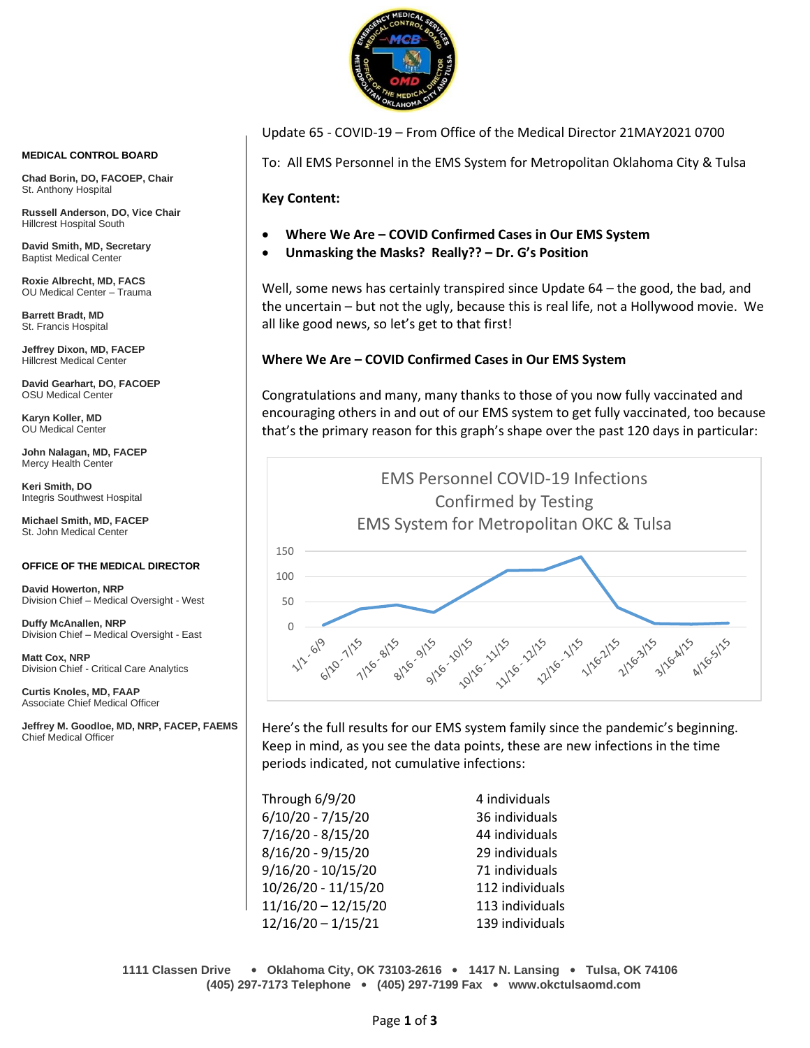

Update 65 - COVID-19 – From Office of the Medical Director 21MAY2021 0700

To: All EMS Personnel in the EMS System for Metropolitan Oklahoma City & Tulsa

**Key Content:**

- **Where We Are – COVID Confirmed Cases in Our EMS System**
- **Unmasking the Masks? Really?? – Dr. G's Position**

Well, some news has certainly transpired since Update 64 – the good, the bad, and the uncertain – but not the ugly, because this is real life, not a Hollywood movie. We all like good news, so let's get to that first!

# **Where We Are – COVID Confirmed Cases in Our EMS System**

Congratulations and many, many thanks to those of you now fully vaccinated and encouraging others in and out of our EMS system to get fully vaccinated, too because that's the primary reason for this graph's shape over the past 120 days in particular:



Here's the full results for our EMS system family since the pandemic's beginning. Keep in mind, as you see the data points, these are new infections in the time periods indicated, not cumulative infections:

| Through 6/9/20        | 4 individuals   |
|-----------------------|-----------------|
| $6/10/20 - 7/15/20$   | 36 individuals  |
| $7/16/20 - 8/15/20$   | 44 individuals  |
| $8/16/20 - 9/15/20$   | 29 individuals  |
| $9/16/20 - 10/15/20$  | 71 individuals  |
| 10/26/20 - 11/15/20   | 112 individuals |
| $11/16/20 - 12/15/20$ | 113 individuals |
| $12/16/20 - 1/15/21$  | 139 individuals |

**1111 Classen Drive** • **Oklahoma City, OK 73103-2616** • **1417 N. Lansing** • **Tulsa, OK 74106 (405) 297-7173 Telephone** • **(405) 297-7199 Fax** • **www.okctulsaomd.com**

#### **MEDICAL CONTROL BOARD**

**Chad Borin, DO, FACOEP, Chair**  St. Anthony Hospital

**Russell Anderson, DO, Vice Chair** Hillcrest Hospital South

**David Smith, MD, Secretary** Baptist Medical Center

**Roxie Albrecht, MD, FACS** OU Medical Center – Trauma

**Barrett Bradt, MD** St. Francis Hospital

**Jeffrey Dixon, MD, FACEP** Hillcrest Medical Center

**David Gearhart, DO, FACOEP** OSU Medical Center

**Karyn Koller, MD** OU Medical Center

**John Nalagan, MD, FACEP** Mercy Health Center

**Keri Smith, DO** Integris Southwest Hospital

**Michael Smith, MD, FACEP** St. John Medical Center

### **OFFICE OF THE MEDICAL DIRECTOR**

**David Howerton, NRP** Division Chief – Medical Oversight - West

**Duffy McAnallen, NRP** Division Chief – Medical Oversight - East

**Matt Cox, NRP** Division Chief - Critical Care Analytics

**Curtis Knoles, MD, FAAP** Associate Chief Medical Officer

**Jeffrey M. Goodloe, MD, NRP, FACEP, FAEMS** Chief Medical Officer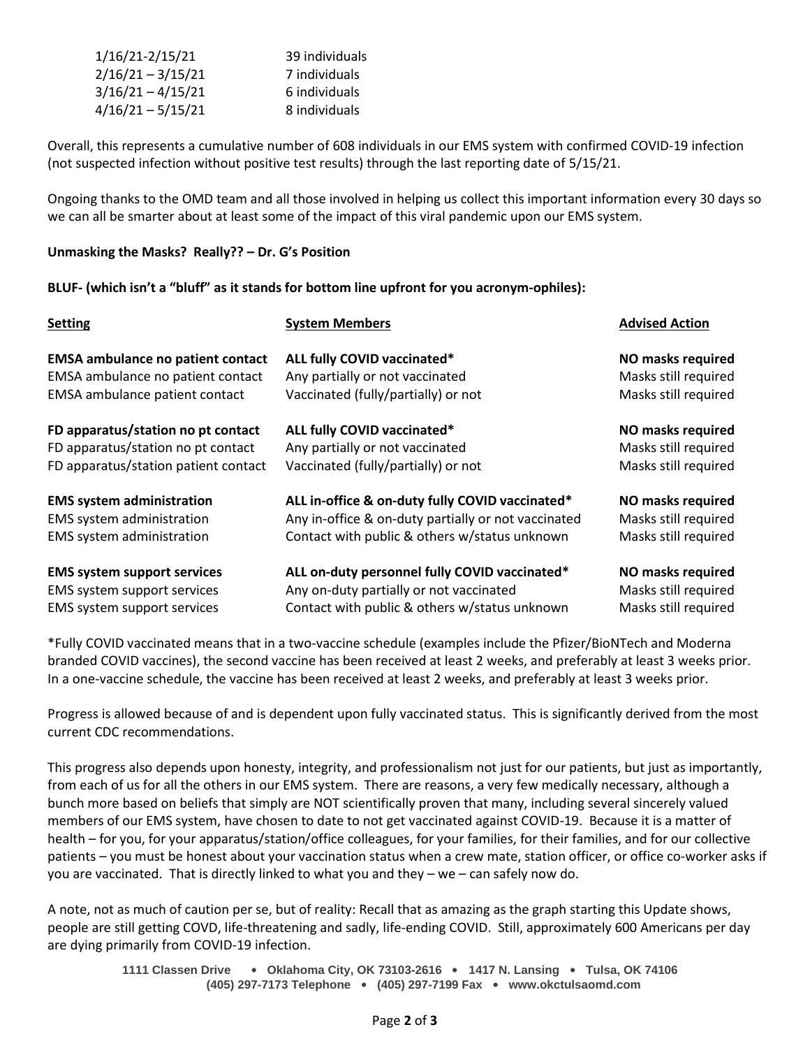| 1/16/21-2/15/21     | 39 individuals |
|---------------------|----------------|
| $2/16/21 - 3/15/21$ | 7 individuals  |
| $3/16/21 - 4/15/21$ | 6 individuals  |
| $4/16/21 - 5/15/21$ | 8 individuals  |

Overall, this represents a cumulative number of 608 individuals in our EMS system with confirmed COVID-19 infection (not suspected infection without positive test results) through the last reporting date of 5/15/21.

Ongoing thanks to the OMD team and all those involved in helping us collect this important information every 30 days so we can all be smarter about at least some of the impact of this viral pandemic upon our EMS system.

## **Unmasking the Masks? Really?? – Dr. G's Position**

## **BLUF- (which isn't a "bluff" as it stands for bottom line upfront for you acronym-ophiles):**

| <b>Setting</b>                           | <b>System Members</b>                               | <b>Advised Action</b>    |
|------------------------------------------|-----------------------------------------------------|--------------------------|
| <b>EMSA ambulance no patient contact</b> | ALL fully COVID vaccinated*                         | <b>NO masks required</b> |
| EMSA ambulance no patient contact        | Any partially or not vaccinated                     | Masks still required     |
| EMSA ambulance patient contact           | Vaccinated (fully/partially) or not                 | Masks still required     |
| FD apparatus/station no pt contact       | ALL fully COVID vaccinated*                         | NO masks required        |
| FD apparatus/station no pt contact       | Any partially or not vaccinated                     | Masks still required     |
| FD apparatus/station patient contact     | Vaccinated (fully/partially) or not                 | Masks still required     |
| <b>EMS system administration</b>         | ALL in-office & on-duty fully COVID vaccinated*     | NO masks required        |
| EMS system administration                | Any in-office & on-duty partially or not vaccinated | Masks still required     |
| EMS system administration                | Contact with public & others w/status unknown       | Masks still required     |
| <b>EMS system support services</b>       | ALL on-duty personnel fully COVID vaccinated*       | NO masks required        |
| EMS system support services              | Any on-duty partially or not vaccinated             | Masks still required     |
| EMS system support services              | Contact with public & others w/status unknown       | Masks still required     |

\*Fully COVID vaccinated means that in a two-vaccine schedule (examples include the Pfizer/BioNTech and Moderna branded COVID vaccines), the second vaccine has been received at least 2 weeks, and preferably at least 3 weeks prior. In a one-vaccine schedule, the vaccine has been received at least 2 weeks, and preferably at least 3 weeks prior.

Progress is allowed because of and is dependent upon fully vaccinated status. This is significantly derived from the most current CDC recommendations.

This progress also depends upon honesty, integrity, and professionalism not just for our patients, but just as importantly, from each of us for all the others in our EMS system. There are reasons, a very few medically necessary, although a bunch more based on beliefs that simply are NOT scientifically proven that many, including several sincerely valued members of our EMS system, have chosen to date to not get vaccinated against COVID-19. Because it is a matter of health – for you, for your apparatus/station/office colleagues, for your families, for their families, and for our collective patients – you must be honest about your vaccination status when a crew mate, station officer, or office co-worker asks if you are vaccinated. That is directly linked to what you and they – we – can safely now do.

A note, not as much of caution per se, but of reality: Recall that as amazing as the graph starting this Update shows, people are still getting COVD, life-threatening and sadly, life-ending COVID. Still, approximately 600 Americans per day are dying primarily from COVID-19 infection.

> **1111 Classen Drive** • **Oklahoma City, OK 73103-2616** • **1417 N. Lansing** • **Tulsa, OK 74106 (405) 297-7173 Telephone** • **(405) 297-7199 Fax** • **www.okctulsaomd.com**